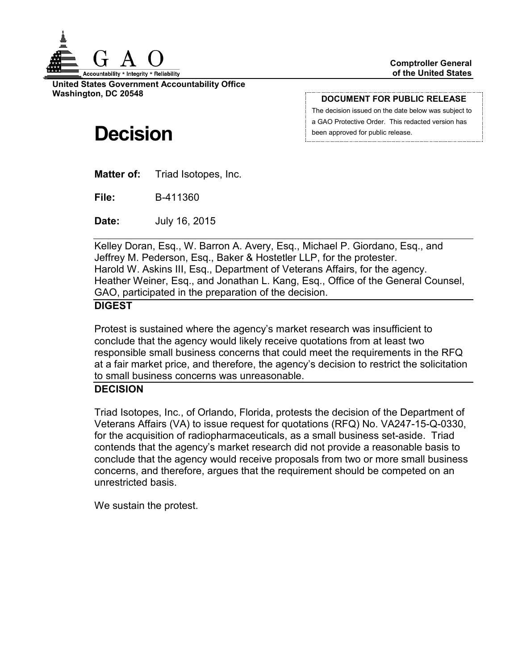

**United States Government Accountability Office Washington, DC 20548**

#### **DOCUMENT FOR PUBLIC RELEASE**

The decision issued on the date below was subject to a GAO Protective Order. This redacted version has been approved for public release.

# **Decision**

**Matter of:** Triad Isotopes, Inc.

**File:** B-411360

**Date:** July 16, 2015

Kelley Doran, Esq., W. Barron A. Avery, Esq., Michael P. Giordano, Esq., and Jeffrey M. Pederson, Esq., Baker & Hostetler LLP, for the protester. Harold W. Askins III, Esq., Department of Veterans Affairs, for the agency. Heather Weiner, Esq., and Jonathan L. Kang, Esq., Office of the General Counsel, GAO, participated in the preparation of the decision.

## **DIGEST**

Protest is sustained where the agency's market research was insufficient to conclude that the agency would likely receive quotations from at least two responsible small business concerns that could meet the requirements in the RFQ at a fair market price, and therefore, the agency's decision to restrict the solicitation to small business concerns was unreasonable.

## **DECISION**

Triad Isotopes, Inc., of Orlando, Florida, protests the decision of the Department of Veterans Affairs (VA) to issue request for quotations (RFQ) No. VA247-15-Q-0330, for the acquisition of radiopharmaceuticals, as a small business set-aside. Triad contends that the agency's market research did not provide a reasonable basis to conclude that the agency would receive proposals from two or more small business concerns, and therefore, argues that the requirement should be competed on an unrestricted basis.

We sustain the protest.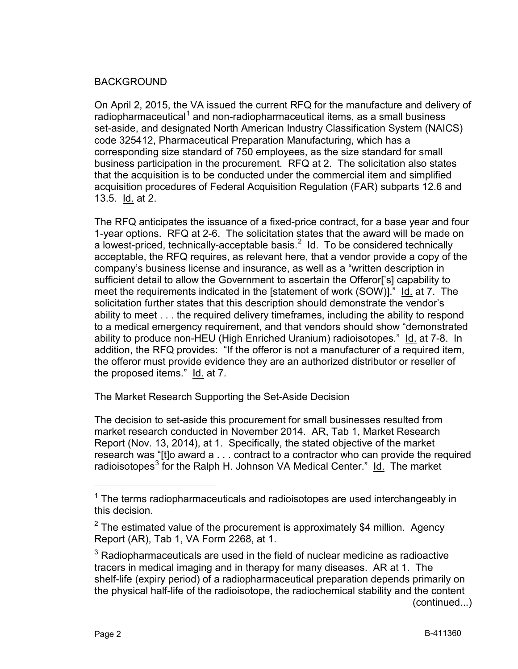## BACKGROUND

On April 2, 2015, the VA issued the current RFQ for the manufacture and delivery of radiopharmaceutical<sup>[1](#page-1-0)</sup> and non-radiopharmaceutical items, as a small business set-aside, and designated North American Industry Classification System (NAICS) code 325412, Pharmaceutical Preparation Manufacturing, which has a corresponding size standard of 750 employees, as the size standard for small business participation in the procurement. RFQ at 2. The solicitation also states that the acquisition is to be conducted under the commercial item and simplified acquisition procedures of Federal Acquisition Regulation (FAR) subparts 12.6 and 13.5. Id. at 2.

The RFQ anticipates the issuance of a fixed-price contract, for a base year and four 1-year options. RFQ at 2-6. The solicitation states that the award will be made on a lowest-priced, technically-acceptable basis.<sup>[2](#page-1-1)</sup> ld. To be considered technically acceptable, the RFQ requires, as relevant here, that a vendor provide a copy of the company's business license and insurance, as well as a "written description in sufficient detail to allow the Government to ascertain the Offeror['s] capability to meet the requirements indicated in the [statement of work (SOW)]." Id. at 7. The solicitation further states that this description should demonstrate the vendor's ability to meet . . . the required delivery timeframes, including the ability to respond to a medical emergency requirement, and that vendors should show "demonstrated ability to produce non-HEU (High Enriched Uranium) radioisotopes." Id. at 7-8. In addition, the RFQ provides: "If the offeror is not a manufacturer of a required item, the offeror must provide evidence they are an authorized distributor or reseller of the proposed items." Id. at 7.

The Market Research Supporting the Set-Aside Decision

The decision to set-aside this procurement for small businesses resulted from market research conducted in November 2014. AR, Tab 1, Market Research Report (Nov. 13, 2014), at 1. Specifically, the stated objective of the market research was "[t]o award a . . . contract to a contractor who can provide the required radioisotopes<sup>[3](#page-1-2)</sup> for the Ralph H. Johnson VA Medical Center." Id. The market

<span id="page-1-0"></span> $1$  The terms radiopharmaceuticals and radioisotopes are used interchangeably in this decision.

<span id="page-1-1"></span> $2$  The estimated value of the procurement is approximately \$4 million. Agency Report (AR), Tab 1, VA Form 2268, at 1.

<span id="page-1-2"></span> $3$  Radiopharmaceuticals are used in the field of nuclear medicine as radioactive tracers in medical imaging and in therapy for many diseases. AR at 1. The shelf-life (expiry period) of a radiopharmaceutical preparation depends primarily on the physical half-life of the radioisotope, the radiochemical stability and the content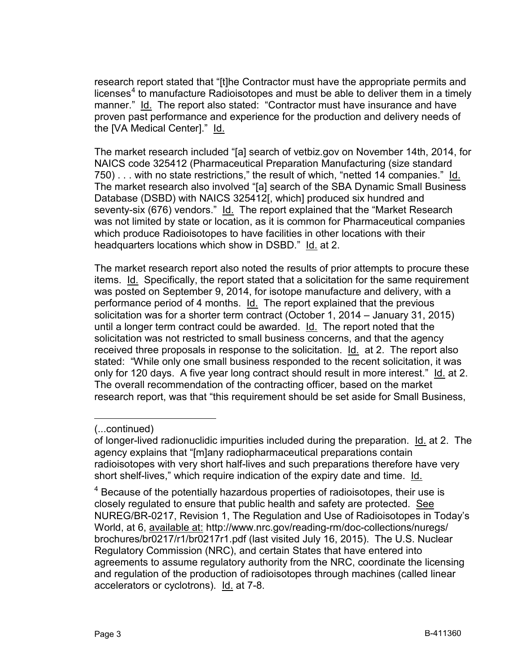research report stated that "[t]he Contractor must have the appropriate permits and licenses<sup>[4](#page-2-0)</sup> to manufacture Radioisotopes and must be able to deliver them in a timely manner." Id. The report also stated: "Contractor must have insurance and have proven past performance and experience for the production and delivery needs of the [VA Medical Center]." Id.

The market research included "[a] search of vetbiz.gov on November 14th, 2014, for NAICS code 325412 (Pharmaceutical Preparation Manufacturing (size standard 750) . . . with no state restrictions," the result of which, "netted 14 companies." Id. The market research also involved "[a] search of the SBA Dynamic Small Business Database (DSBD) with NAICS 325412[, which] produced six hundred and seventy-six (676) vendors." Id. The report explained that the "Market Research was not limited by state or location, as it is common for Pharmaceutical companies which produce Radioisotopes to have facilities in other locations with their headquarters locations which show in DSBD." Id. at 2.

The market research report also noted the results of prior attempts to procure these items. Id. Specifically, the report stated that a solicitation for the same requirement was posted on September 9, 2014, for isotope manufacture and delivery, with a performance period of 4 months. Id. The report explained that the previous solicitation was for a shorter term contract (October 1, 2014 – January 31, 2015) until a longer term contract could be awarded. Id. The report noted that the solicitation was not restricted to small business concerns, and that the agency received three proposals in response to the solicitation. Id. at 2. The report also stated: "While only one small business responded to the recent solicitation, it was only for 120 days. A five year long contract should result in more interest." Id. at 2. The overall recommendation of the contracting officer, based on the market research report, was that "this requirement should be set aside for Small Business,

 $\overline{a}$ 

<span id="page-2-0"></span><sup>4</sup> Because of the potentially hazardous properties of radioisotopes, their use is closely regulated to ensure that public health and safety are protected. See NUREG/BR-0217, Revision 1, The Regulation and Use of Radioisotopes in Today's World, at 6, available at: http://www.nrc.gov/reading-rm/doc-collections/nuregs/ brochures/br0217/r1/br0217r1.pdf (last visited July 16, 2015). The U.S. Nuclear Regulatory Commission (NRC), and certain States that have entered into agreements to assume regulatory authority from the NRC, coordinate the licensing and regulation of the production of radioisotopes through machines (called linear accelerators or cyclotrons). Id. at 7-8.

<sup>(...</sup>continued)

of longer-lived radionuclidic impurities included during the preparation. Id. at 2. The agency explains that "[m]any radiopharmaceutical preparations contain radioisotopes with very short half-lives and such preparations therefore have very short shelf-lives," which require indication of the expiry date and time. Id.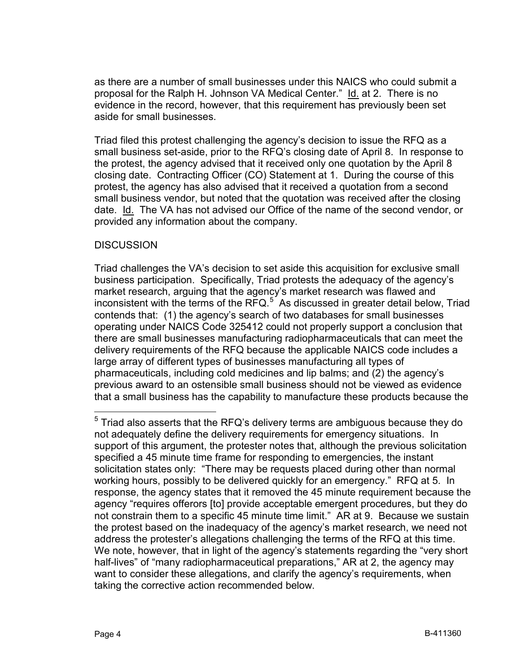as there are a number of small businesses under this NAICS who could submit a proposal for the Ralph H. Johnson VA Medical Center." Id. at 2. There is no evidence in the record, however, that this requirement has previously been set aside for small businesses.

Triad filed this protest challenging the agency's decision to issue the RFQ as a small business set-aside, prior to the RFQ's closing date of April 8. In response to the protest, the agency advised that it received only one quotation by the April 8 closing date. Contracting Officer (CO) Statement at 1. During the course of this protest, the agency has also advised that it received a quotation from a second small business vendor, but noted that the quotation was received after the closing date. Id. The VA has not advised our Office of the name of the second vendor, or provided any information about the company.

## **DISCUSSION**

Triad challenges the VA's decision to set aside this acquisition for exclusive small business participation. Specifically, Triad protests the adequacy of the agency's market research, arguing that the agency's market research was flawed and inconsistent with the terms of the  $RFAC$ <sup>[5](#page-3-0)</sup> As discussed in greater detail below, Triad contends that: (1) the agency's search of two databases for small businesses operating under NAICS Code 325412 could not properly support a conclusion that there are small businesses manufacturing radiopharmaceuticals that can meet the delivery requirements of the RFQ because the applicable NAICS code includes a large array of different types of businesses manufacturing all types of pharmaceuticals, including cold medicines and lip balms; and (2) the agency's previous award to an ostensible small business should not be viewed as evidence that a small business has the capability to manufacture these products because the

<span id="page-3-0"></span> <sup>5</sup> Triad also asserts that the RFQ's delivery terms are ambiguous because they do not adequately define the delivery requirements for emergency situations. In support of this argument, the protester notes that, although the previous solicitation specified a 45 minute time frame for responding to emergencies, the instant solicitation states only: "There may be requests placed during other than normal working hours, possibly to be delivered quickly for an emergency." RFQ at 5. In response, the agency states that it removed the 45 minute requirement because the agency "requires offerors [to] provide acceptable emergent procedures, but they do not constrain them to a specific 45 minute time limit." AR at 9. Because we sustain the protest based on the inadequacy of the agency's market research, we need not address the protester's allegations challenging the terms of the RFQ at this time. We note, however, that in light of the agency's statements regarding the "very short" half-lives" of "many radiopharmaceutical preparations," AR at 2, the agency may want to consider these allegations, and clarify the agency's requirements, when taking the corrective action recommended below.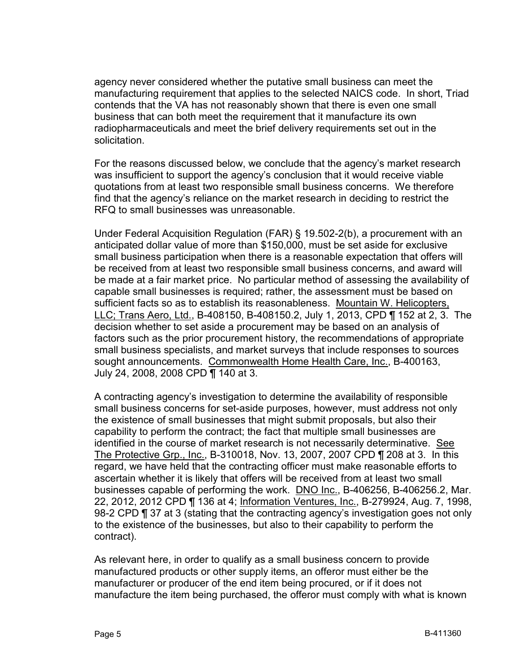agency never considered whether the putative small business can meet the manufacturing requirement that applies to the selected NAICS code. In short, Triad contends that the VA has not reasonably shown that there is even one small business that can both meet the requirement that it manufacture its own radiopharmaceuticals and meet the brief delivery requirements set out in the solicitation.

For the reasons discussed below, we conclude that the agency's market research was insufficient to support the agency's conclusion that it would receive viable quotations from at least two responsible small business concerns. We therefore find that the agency's reliance on the market research in deciding to restrict the RFQ to small businesses was unreasonable.

Under Federal Acquisition Regulation (FAR) § 19.502-2(b), a procurement with an anticipated dollar value of more than \$150,000, must be set aside for exclusive small business participation when there is a reasonable expectation that offers will be received from at least two responsible small business concerns, and award will be made at a fair market price. No particular method of assessing the availability of capable small businesses is required; rather, the assessment must be based on sufficient facts so as to establish its reasonableness. Mountain W. Helicopters, LLC; Trans Aero, Ltd., B-408150, B-408150.2, July 1, 2013, CPD ¶ 152 at 2, 3. The decision whether to set aside a procurement may be based on an analysis of factors such as the prior procurement history, the recommendations of appropriate small business specialists, and market surveys that include responses to sources sought announcements. Commonwealth Home Health Care, Inc., B-400163, July 24, 2008, 2008 CPD ¶ 140 at 3.

A contracting agency's investigation to determine the availability of responsible small business concerns for set-aside purposes, however, must address not only the existence of small businesses that might submit proposals, but also their capability to perform the contract; the fact that multiple small businesses are identified in the course of market research is not necessarily determinative. See The Protective Grp., Inc., B-310018, Nov. 13, 2007, 2007 CPD ¶ 208 at 3. In this regard, we have held that the contracting officer must make reasonable efforts to ascertain whether it is likely that offers will be received from at least two small businesses capable of performing the work. DNO Inc., B-406256, B-406256.2, Mar. 22, 2012, 2012 CPD ¶ 136 at 4; Information Ventures, Inc., B-279924, Aug. 7, 1998, 98-2 CPD ¶ 37 at 3 (stating that the contracting agency's investigation goes not only to the existence of the businesses, but also to their capability to perform the contract).

As relevant here, in order to qualify as a small business concern to provide manufactured products or other supply items, an offeror must either be the manufacturer or producer of the end item being procured, or if it does not manufacture the item being purchased, the offeror must comply with what is known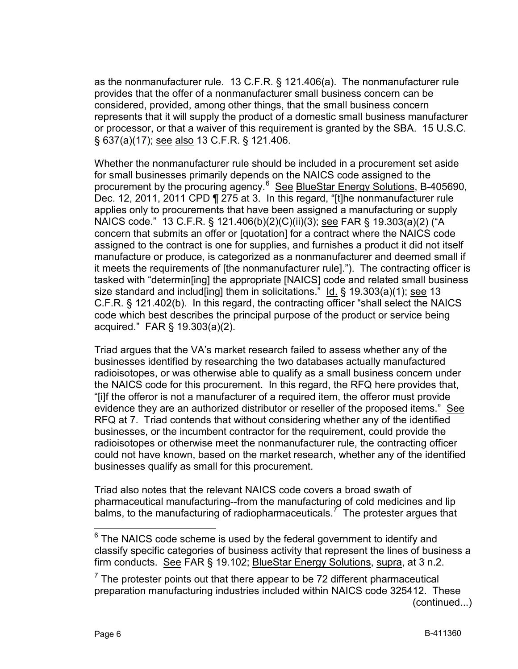as the nonmanufacturer rule. 13 C.F.R. § 121.406(a). The nonmanufacturer rule provides that the offer of a nonmanufacturer small business concern can be considered, provided, among other things, that the small business concern represents that it will supply the product of a domestic small business manufacturer or processor, or that a waiver of this requirement is granted by the SBA. 15 U.S.C. § 637(a)(17); see also 13 C.F.R. § 121.406.

Whether the nonmanufacturer rule should be included in a procurement set aside for small businesses primarily depends on the NAICS code assigned to the procurement by the procuring agency.<sup>[6](#page-5-0)</sup> See BlueStar Energy Solutions, B-405690, Dec. 12, 2011, 2011 CPD ¶ 275 at 3. In this regard, "[t]he nonmanufacturer rule applies only to procurements that have been assigned a manufacturing or supply NAICS code." 13 C.F.R. § 121.406(b)(2)(C)(ii)(3); see FAR § 19.303(a)(2) ("A concern that submits an offer or [quotation] for a contract where the NAICS code assigned to the contract is one for supplies, and furnishes a product it did not itself manufacture or produce, is categorized as a nonmanufacturer and deemed small if it meets the requirements of [the nonmanufacturer rule]."). The contracting officer is tasked with "determin[ing] the appropriate [NAICS] code and related small business size standard and includ [ing] them in solicitations."  $\underline{Id.}$  § 19.303(a)(1); see 13 C.F.R. § 121.402(b). In this regard, the contracting officer "shall select the NAICS code which best describes the principal purpose of the product or service being acquired." FAR § 19.303(a)(2).

Triad argues that the VA's market research failed to assess whether any of the businesses identified by researching the two databases actually manufactured radioisotopes, or was otherwise able to qualify as a small business concern under the NAICS code for this procurement. In this regard, the RFQ here provides that, "[i]f the offeror is not a manufacturer of a required item, the offeror must provide evidence they are an authorized distributor or reseller of the proposed items." See RFQ at 7. Triad contends that without considering whether any of the identified businesses, or the incumbent contractor for the requirement, could provide the radioisotopes or otherwise meet the nonmanufacturer rule, the contracting officer could not have known, based on the market research, whether any of the identified businesses qualify as small for this procurement.

Triad also notes that the relevant NAICS code covers a broad swath of pharmaceutical manufacturing--from the manufacturing of cold medicines and lip balms, to the manufacturing of radiopharmaceuticals.<sup>[7](#page-5-1)</sup> The protester argues that

<span id="page-5-0"></span> $6$  The NAICS code scheme is used by the federal government to identify and classify specific categories of business activity that represent the lines of business a firm conducts. See FAR § 19.102; BlueStar Energy Solutions, supra, at 3 n.2.

<span id="page-5-1"></span> $<sup>7</sup>$  The protester points out that there appear to be 72 different pharmaceutical</sup> preparation manufacturing industries included within NAICS code 325412. These (continued...)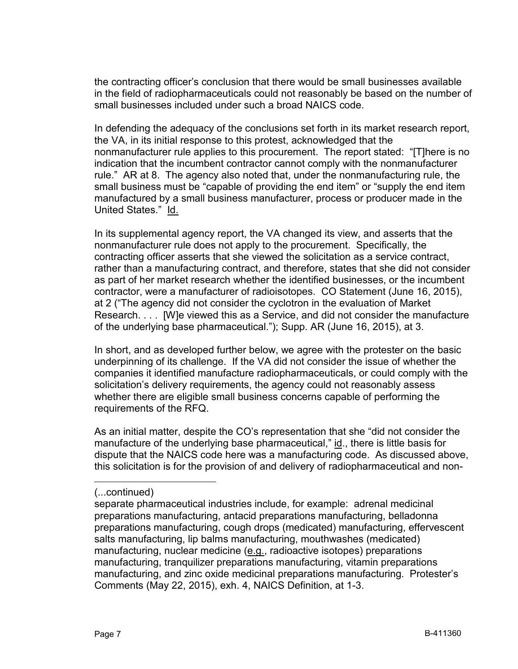the contracting officer's conclusion that there would be small businesses available in the field of radiopharmaceuticals could not reasonably be based on the number of small businesses included under such a broad NAICS code.

In defending the adequacy of the conclusions set forth in its market research report, the VA, in its initial response to this protest, acknowledged that the nonmanufacturer rule applies to this procurement. The report stated: "[T]here is no indication that the incumbent contractor cannot comply with the nonmanufacturer rule." AR at 8. The agency also noted that, under the nonmanufacturing rule, the small business must be "capable of providing the end item" or "supply the end item manufactured by a small business manufacturer, process or producer made in the United States." Id.

In its supplemental agency report, the VA changed its view, and asserts that the nonmanufacturer rule does not apply to the procurement. Specifically, the contracting officer asserts that she viewed the solicitation as a service contract, rather than a manufacturing contract, and therefore, states that she did not consider as part of her market research whether the identified businesses, or the incumbent contractor, were a manufacturer of radioisotopes. CO Statement (June 16, 2015), at 2 ("The agency did not consider the cyclotron in the evaluation of Market Research. . . . [W]e viewed this as a Service, and did not consider the manufacture of the underlying base pharmaceutical."); Supp. AR (June 16, 2015), at 3.

In short, and as developed further below, we agree with the protester on the basic underpinning of its challenge. If the VA did not consider the issue of whether the companies it identified manufacture radiopharmaceuticals, or could comply with the solicitation's delivery requirements, the agency could not reasonably assess whether there are eligible small business concerns capable of performing the requirements of the RFQ.

As an initial matter, despite the CO's representation that she "did not consider the manufacture of the underlying base pharmaceutical," id., there is little basis for dispute that the NAICS code here was a manufacturing code. As discussed above, this solicitation is for the provision of and delivery of radiopharmaceutical and non-

 $\overline{a}$ 

<sup>(...</sup>continued)

separate pharmaceutical industries include, for example: adrenal medicinal preparations manufacturing, antacid preparations manufacturing, belladonna preparations manufacturing, cough drops (medicated) manufacturing, effervescent salts manufacturing, lip balms manufacturing, mouthwashes (medicated) manufacturing, nuclear medicine (e.g., radioactive isotopes) preparations manufacturing, tranquilizer preparations manufacturing, vitamin preparations manufacturing, and zinc oxide medicinal preparations manufacturing. Protester's Comments (May 22, 2015), exh. 4, NAICS Definition, at 1-3.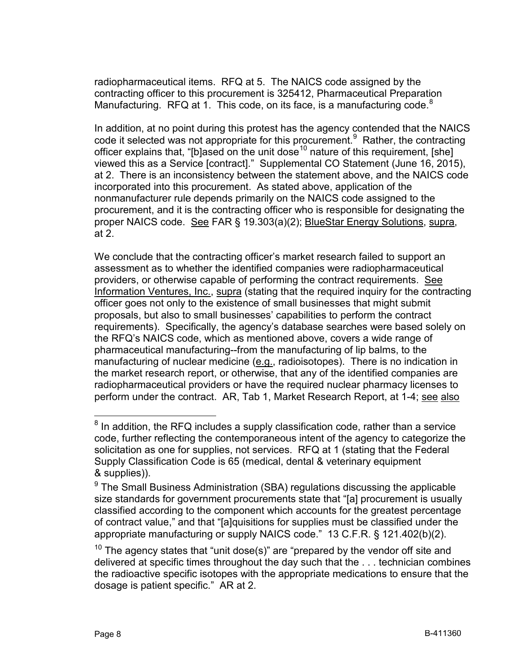radiopharmaceutical items. RFQ at 5. The NAICS code assigned by the contracting officer to this procurement is 325412, Pharmaceutical Preparation Manufacturing. RFQ at 1. This code, on its face, is a manufacturing code. $8$ 

In addition, at no point during this protest has the agency contended that the NAICS code it selected was not appropriate for this procurement.<sup>[9](#page-7-1)</sup> Rather, the contracting officer explains that, "[b]ased on the unit dose<sup>[10](#page-7-2)</sup> nature of this requirement, [she] viewed this as a Service [contract]." Supplemental CO Statement (June 16, 2015), at 2. There is an inconsistency between the statement above, and the NAICS code incorporated into this procurement. As stated above, application of the nonmanufacturer rule depends primarily on the NAICS code assigned to the procurement, and it is the contracting officer who is responsible for designating the proper NAICS code. See FAR § 19.303(a)(2); BlueStar Energy Solutions, supra, at 2.

We conclude that the contracting officer's market research failed to support an assessment as to whether the identified companies were radiopharmaceutical providers, or otherwise capable of performing the contract requirements. See Information Ventures, Inc., supra (stating that the required inquiry for the contracting officer goes not only to the existence of small businesses that might submit proposals, but also to small businesses' capabilities to perform the contract requirements). Specifically, the agency's database searches were based solely on the RFQ's NAICS code, which as mentioned above, covers a wide range of pharmaceutical manufacturing--from the manufacturing of lip balms, to the manufacturing of nuclear medicine (e.g., radioisotopes). There is no indication in the market research report, or otherwise, that any of the identified companies are radiopharmaceutical providers or have the required nuclear pharmacy licenses to perform under the contract. AR, Tab 1, Market Research Report, at 1-4; see also

<span id="page-7-0"></span> $8$  In addition, the RFQ includes a supply classification code, rather than a service code, further reflecting the contemporaneous intent of the agency to categorize the solicitation as one for supplies, not services. RFQ at 1 (stating that the Federal Supply Classification Code is 65 (medical, dental & veterinary equipment & supplies)).

<span id="page-7-1"></span> $9$  The Small Business Administration (SBA) regulations discussing the applicable size standards for government procurements state that "[a] procurement is usually classified according to the component which accounts for the greatest percentage of contract value," and that "[a]quisitions for supplies must be classified under the appropriate manufacturing or supply NAICS code." 13 C.F.R. § 121.402(b)(2).

<span id="page-7-2"></span> $10$  The agency states that "unit dose(s)" are "prepared by the vendor off site and delivered at specific times throughout the day such that the . . . technician combines the radioactive specific isotopes with the appropriate medications to ensure that the dosage is patient specific." AR at 2.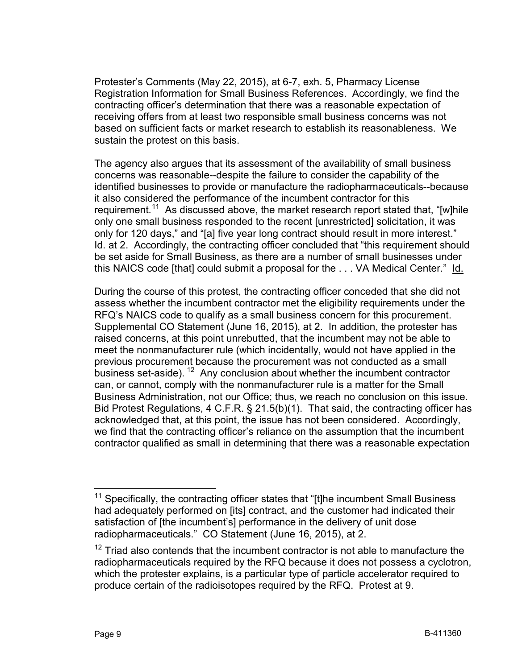Protester's Comments (May 22, 2015), at 6-7, exh. 5, Pharmacy License Registration Information for Small Business References. Accordingly, we find the contracting officer's determination that there was a reasonable expectation of receiving offers from at least two responsible small business concerns was not based on sufficient facts or market research to establish its reasonableness. We sustain the protest on this basis.

The agency also argues that its assessment of the availability of small business concerns was reasonable--despite the failure to consider the capability of the identified businesses to provide or manufacture the radiopharmaceuticals--because it also considered the performance of the incumbent contractor for this requirement.<sup>[11](#page-8-0)</sup> As discussed above, the market research report stated that, "[w]hile only one small business responded to the recent [unrestricted] solicitation, it was only for 120 days," and "[a] five year long contract should result in more interest." Id. at 2. Accordingly, the contracting officer concluded that "this requirement should be set aside for Small Business, as there are a number of small businesses under this NAICS code [that] could submit a proposal for the ... VA Medical Center." Id.

During the course of this protest, the contracting officer conceded that she did not assess whether the incumbent contractor met the eligibility requirements under the RFQ's NAICS code to qualify as a small business concern for this procurement. Supplemental CO Statement (June 16, 2015), at 2. In addition, the protester has raised concerns, at this point unrebutted, that the incumbent may not be able to meet the nonmanufacturer rule (which incidentally, would not have applied in the previous procurement because the procurement was not conducted as a small business set-aside).  $12$  Any conclusion about whether the incumbent contractor can, or cannot, comply with the nonmanufacturer rule is a matter for the Small Business Administration, not our Office; thus, we reach no conclusion on this issue. Bid Protest Regulations, 4 C.F.R. § 21.5(b)(1). That said, the contracting officer has acknowledged that, at this point, the issue has not been considered. Accordingly, we find that the contracting officer's reliance on the assumption that the incumbent contractor qualified as small in determining that there was a reasonable expectation

<span id="page-8-0"></span> $11$  Specifically, the contracting officer states that "[t]he incumbent Small Business had adequately performed on [its] contract, and the customer had indicated their satisfaction of [the incumbent's] performance in the delivery of unit dose radiopharmaceuticals." CO Statement (June 16, 2015), at 2.

<span id="page-8-1"></span> $12$  Triad also contends that the incumbent contractor is not able to manufacture the radiopharmaceuticals required by the RFQ because it does not possess a cyclotron, which the protester explains, is a particular type of particle accelerator required to produce certain of the radioisotopes required by the RFQ. Protest at 9.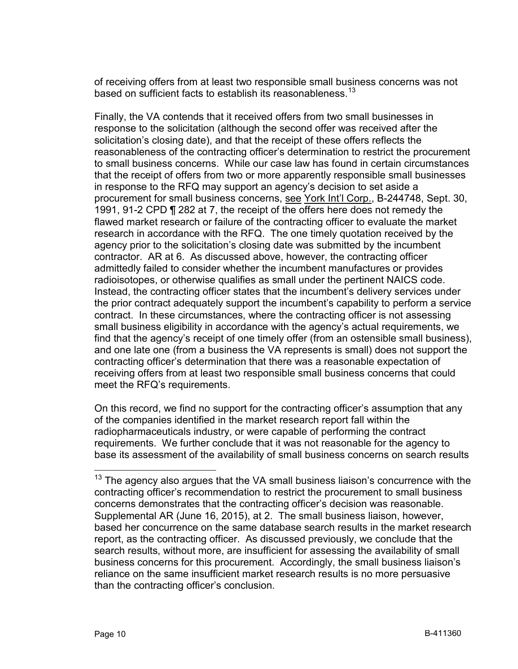of receiving offers from at least two responsible small business concerns was not based on sufficient facts to establish its reasonableness.<sup>[13](#page-9-0)</sup>

Finally, the VA contends that it received offers from two small businesses in response to the solicitation (although the second offer was received after the solicitation's closing date), and that the receipt of these offers reflects the reasonableness of the contracting officer's determination to restrict the procurement to small business concerns. While our case law has found in certain circumstances that the receipt of offers from two or more apparently responsible small businesses in response to the RFQ may support an agency's decision to set aside a procurement for small business concerns, see York Int'l Corp., B-244748, Sept. 30, 1991, 91-2 CPD ¶ 282 at 7, the receipt of the offers here does not remedy the flawed market research or failure of the contracting officer to evaluate the market research in accordance with the RFQ. The one timely quotation received by the agency prior to the solicitation's closing date was submitted by the incumbent contractor. AR at 6. As discussed above, however, the contracting officer admittedly failed to consider whether the incumbent manufactures or provides radioisotopes, or otherwise qualifies as small under the pertinent NAICS code. Instead, the contracting officer states that the incumbent's delivery services under the prior contract adequately support the incumbent's capability to perform a service contract. In these circumstances, where the contracting officer is not assessing small business eligibility in accordance with the agency's actual requirements, we find that the agency's receipt of one timely offer (from an ostensible small business), and one late one (from a business the VA represents is small) does not support the contracting officer's determination that there was a reasonable expectation of receiving offers from at least two responsible small business concerns that could meet the RFQ's requirements.

On this record, we find no support for the contracting officer's assumption that any of the companies identified in the market research report fall within the radiopharmaceuticals industry, or were capable of performing the contract requirements. We further conclude that it was not reasonable for the agency to base its assessment of the availability of small business concerns on search results

<span id="page-9-0"></span> $13$  The agency also argues that the VA small business liaison's concurrence with the contracting officer's recommendation to restrict the procurement to small business concerns demonstrates that the contracting officer's decision was reasonable. Supplemental AR (June 16, 2015), at 2. The small business liaison, however, based her concurrence on the same database search results in the market research report, as the contracting officer. As discussed previously, we conclude that the search results, without more, are insufficient for assessing the availability of small business concerns for this procurement. Accordingly, the small business liaison's reliance on the same insufficient market research results is no more persuasive than the contracting officer's conclusion.